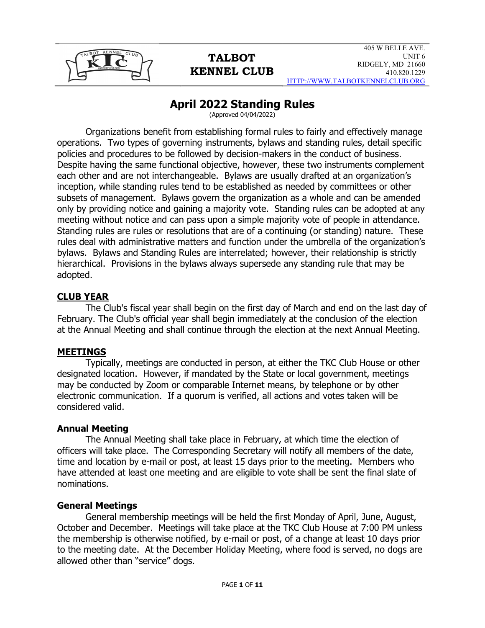

# TALBOT KENNEL CLUB

# April 2022 Standing Rules

(Approved 04/04/2022)

 Organizations benefit from establishing formal rules to fairly and effectively manage operations. Two types of governing instruments, bylaws and standing rules, detail specific policies and procedures to be followed by decision-makers in the conduct of business. Despite having the same functional objective, however, these two instruments complement each other and are not interchangeable. Bylaws are usually drafted at an organization's inception, while standing rules tend to be established as needed by committees or other subsets of management. Bylaws govern the organization as a whole and can be amended only by providing notice and gaining a majority vote. Standing rules can be adopted at any meeting without notice and can pass upon a simple majority vote of people in attendance. Standing rules are rules or resolutions that are of a continuing (or standing) nature. These rules deal with administrative matters and function under the umbrella of the organization's bylaws. Bylaws and Standing Rules are interrelated; however, their relationship is strictly hierarchical. Provisions in the bylaws always supersede any standing rule that may be adopted.

### CLUB YEAR

 The Club's fiscal year shall begin on the first day of March and end on the last day of February. The Club's official year shall begin immediately at the conclusion of the election at the Annual Meeting and shall continue through the election at the next Annual Meeting.

#### MEETINGS

 Typically, meetings are conducted in person, at either the TKC Club House or other designated location. However, if mandated by the State or local government, meetings may be conducted by Zoom or comparable Internet means, by telephone or by other electronic communication. If a quorum is verified, all actions and votes taken will be considered valid.

#### Annual Meeting

 The Annual Meeting shall take place in February, at which time the election of officers will take place. The Corresponding Secretary will notify all members of the date, time and location by e-mail or post, at least 15 days prior to the meeting. Members who have attended at least one meeting and are eligible to vote shall be sent the final slate of nominations.

#### General Meetings

 General membership meetings will be held the first Monday of April, June, August, October and December. Meetings will take place at the TKC Club House at 7:00 PM unless the membership is otherwise notified, by e-mail or post, of a change at least 10 days prior to the meeting date. At the December Holiday Meeting, where food is served, no dogs are allowed other than "service" dogs.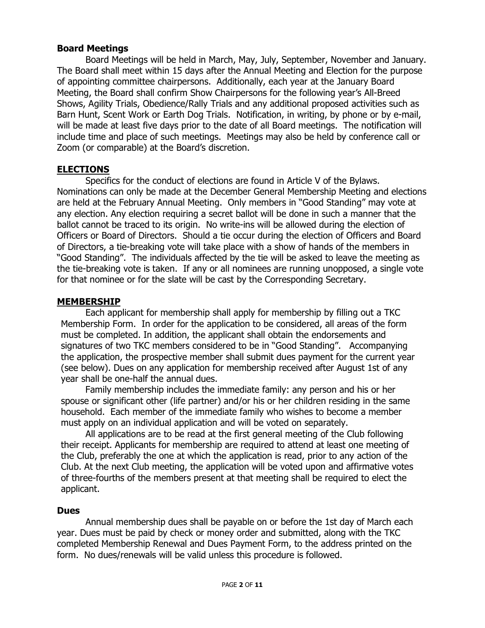#### Board Meetings

 Board Meetings will be held in March, May, July, September, November and January. The Board shall meet within 15 days after the Annual Meeting and Election for the purpose of appointing committee chairpersons. Additionally, each year at the January Board Meeting, the Board shall confirm Show Chairpersons for the following year's All-Breed Shows, Agility Trials, Obedience/Rally Trials and any additional proposed activities such as Barn Hunt, Scent Work or Earth Dog Trials. Notification, in writing, by phone or by e-mail, will be made at least five days prior to the date of all Board meetings. The notification will include time and place of such meetings. Meetings may also be held by conference call or Zoom (or comparable) at the Board's discretion.

### ELECTIONS

Specifics for the conduct of elections are found in Article V of the Bylaws. Nominations can only be made at the December General Membership Meeting and elections are held at the February Annual Meeting. Only members in "Good Standing" may vote at any election. Any election requiring a secret ballot will be done in such a manner that the ballot cannot be traced to its origin. No write-ins will be allowed during the election of Officers or Board of Directors. Should a tie occur during the election of Officers and Board of Directors, a tie-breaking vote will take place with a show of hands of the members in "Good Standing". The individuals affected by the tie will be asked to leave the meeting as the tie-breaking vote is taken. If any or all nominees are running unopposed, a single vote for that nominee or for the slate will be cast by the Corresponding Secretary.

#### MEMBERSHIP

Each applicant for membership shall apply for membership by filling out a TKC Membership Form. In order for the application to be considered, all areas of the form must be completed. In addition, the applicant shall obtain the endorsements and signatures of two TKC members considered to be in "Good Standing". Accompanying the application, the prospective member shall submit dues payment for the current year (see below). Dues on any application for membership received after August 1st of any year shall be one-half the annual dues.

 Family membership includes the immediate family: any person and his or her spouse or significant other (life partner) and/or his or her children residing in the same household. Each member of the immediate family who wishes to become a member must apply on an individual application and will be voted on separately.

All applications are to be read at the first general meeting of the Club following their receipt. Applicants for membership are required to attend at least one meeting of the Club, preferably the one at which the application is read, prior to any action of the Club. At the next Club meeting, the application will be voted upon and affirmative votes of three-fourths of the members present at that meeting shall be required to elect the applicant.

#### Dues

 Annual membership dues shall be payable on or before the 1st day of March each year. Dues must be paid by check or money order and submitted, along with the TKC completed Membership Renewal and Dues Payment Form, to the address printed on the form. No dues/renewals will be valid unless this procedure is followed.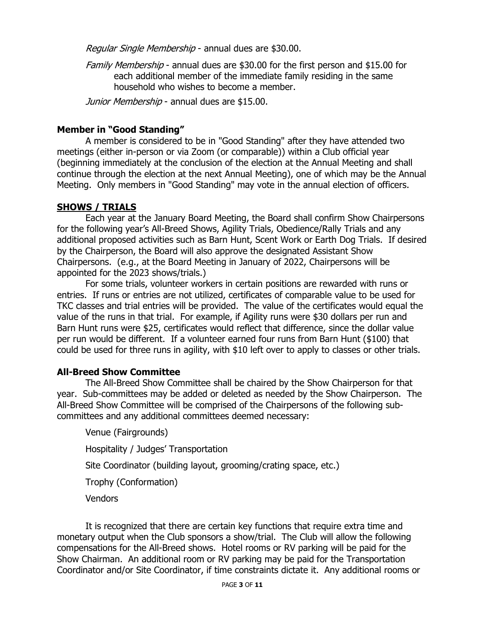Regular Single Membership - annual dues are \$30.00.

Family Membership - annual dues are \$30.00 for the first person and \$15.00 for each additional member of the immediate family residing in the same household who wishes to become a member.

Junior Membership - annual dues are \$15.00.

#### Member in "Good Standing"

 A member is considered to be in "Good Standing" after they have attended two meetings (either in-person or via Zoom (or comparable)) within a Club official year (beginning immediately at the conclusion of the election at the Annual Meeting and shall continue through the election at the next Annual Meeting), one of which may be the Annual Meeting. Only members in "Good Standing" may vote in the annual election of officers.

### SHOWS / TRIALS

 Each year at the January Board Meeting, the Board shall confirm Show Chairpersons for the following year's All-Breed Shows, Agility Trials, Obedience/Rally Trials and any additional proposed activities such as Barn Hunt, Scent Work or Earth Dog Trials. If desired by the Chairperson, the Board will also approve the designated Assistant Show Chairpersons. (e.g., at the Board Meeting in January of 2022, Chairpersons will be appointed for the 2023 shows/trials.)

For some trials, volunteer workers in certain positions are rewarded with runs or entries. If runs or entries are not utilized, certificates of comparable value to be used for TKC classes and trial entries will be provided. The value of the certificates would equal the value of the runs in that trial. For example, if Agility runs were \$30 dollars per run and Barn Hunt runs were \$25, certificates would reflect that difference, since the dollar value per run would be different. If a volunteer earned four runs from Barn Hunt (\$100) that could be used for three runs in agility, with \$10 left over to apply to classes or other trials.

#### All-Breed Show Committee

 The All-Breed Show Committee shall be chaired by the Show Chairperson for that year. Sub-committees may be added or deleted as needed by the Show Chairperson. The All-Breed Show Committee will be comprised of the Chairpersons of the following subcommittees and any additional committees deemed necessary:

 Venue (Fairgrounds) Hospitality / Judges' Transportation Site Coordinator (building layout, grooming/crating space, etc.) Trophy (Conformation) Vendors

 It is recognized that there are certain key functions that require extra time and monetary output when the Club sponsors a show/trial. The Club will allow the following compensations for the All-Breed shows. Hotel rooms or RV parking will be paid for the Show Chairman. An additional room or RV parking may be paid for the Transportation Coordinator and/or Site Coordinator, if time constraints dictate it. Any additional rooms or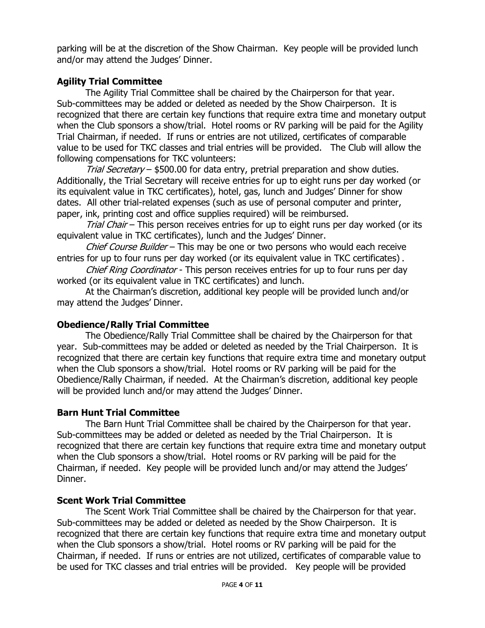parking will be at the discretion of the Show Chairman. Key people will be provided lunch and/or may attend the Judges' Dinner.

# Agility Trial Committee

 The Agility Trial Committee shall be chaired by the Chairperson for that year. Sub-committees may be added or deleted as needed by the Show Chairperson. It is recognized that there are certain key functions that require extra time and monetary output when the Club sponsors a show/trial. Hotel rooms or RV parking will be paid for the Agility Trial Chairman, if needed. If runs or entries are not utilized, certificates of comparable value to be used for TKC classes and trial entries will be provided. The Club will allow the following compensations for TKC volunteers:

Trial Secretary – \$500.00 for data entry, pretrial preparation and show duties. Additionally, the Trial Secretary will receive entries for up to eight runs per day worked (or its equivalent value in TKC certificates), hotel, gas, lunch and Judges' Dinner for show dates. All other trial-related expenses (such as use of personal computer and printer, paper, ink, printing cost and office supplies required) will be reimbursed.

Trial Chair – This person receives entries for up to eight runs per day worked (or its equivalent value in TKC certificates), lunch and the Judges' Dinner.

Chief Course Builder - This may be one or two persons who would each receive entries for up to four runs per day worked (or its equivalent value in TKC certificates).

Chief Ring Coordinator - This person receives entries for up to four runs per day worked (or its equivalent value in TKC certificates) and lunch.

 At the Chairman's discretion, additional key people will be provided lunch and/or may attend the Judges' Dinner.

# Obedience/Rally Trial Committee

 The Obedience/Rally Trial Committee shall be chaired by the Chairperson for that year. Sub-committees may be added or deleted as needed by the Trial Chairperson. It is recognized that there are certain key functions that require extra time and monetary output when the Club sponsors a show/trial. Hotel rooms or RV parking will be paid for the Obedience/Rally Chairman, if needed. At the Chairman's discretion, additional key people will be provided lunch and/or may attend the Judges' Dinner.

# Barn Hunt Trial Committee

 The Barn Hunt Trial Committee shall be chaired by the Chairperson for that year. Sub-committees may be added or deleted as needed by the Trial Chairperson. It is recognized that there are certain key functions that require extra time and monetary output when the Club sponsors a show/trial. Hotel rooms or RV parking will be paid for the Chairman, if needed. Key people will be provided lunch and/or may attend the Judges' Dinner.

# Scent Work Trial Committee

 The Scent Work Trial Committee shall be chaired by the Chairperson for that year. Sub-committees may be added or deleted as needed by the Show Chairperson. It is recognized that there are certain key functions that require extra time and monetary output when the Club sponsors a show/trial. Hotel rooms or RV parking will be paid for the Chairman, if needed. If runs or entries are not utilized, certificates of comparable value to be used for TKC classes and trial entries will be provided. Key people will be provided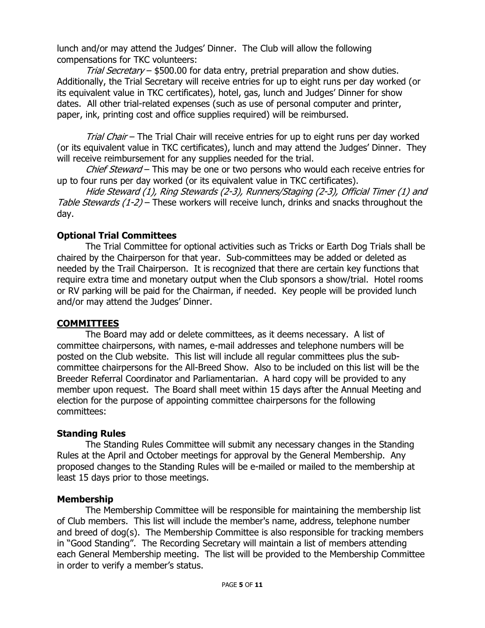lunch and/or may attend the Judges' Dinner. The Club will allow the following compensations for TKC volunteers:

Trial Secretary – \$500.00 for data entry, pretrial preparation and show duties. Additionally, the Trial Secretary will receive entries for up to eight runs per day worked (or its equivalent value in TKC certificates), hotel, gas, lunch and Judges' Dinner for show dates. All other trial-related expenses (such as use of personal computer and printer, paper, ink, printing cost and office supplies required) will be reimbursed.

Trial Chair – The Trial Chair will receive entries for up to eight runs per day worked (or its equivalent value in TKC certificates), lunch and may attend the Judges' Dinner. They will receive reimbursement for any supplies needed for the trial.

Chief Steward – This may be one or two persons who would each receive entries for up to four runs per day worked (or its equivalent value in TKC certificates).

Hide Steward (1), Ring Stewards (2-3), Runners/Staging (2-3), Official Timer (1) and Table Stewards (1-2) – These workers will receive lunch, drinks and snacks throughout the day.

### Optional Trial Committees

 The Trial Committee for optional activities such as Tricks or Earth Dog Trials shall be chaired by the Chairperson for that year. Sub-committees may be added or deleted as needed by the Trail Chairperson. It is recognized that there are certain key functions that require extra time and monetary output when the Club sponsors a show/trial. Hotel rooms or RV parking will be paid for the Chairman, if needed. Key people will be provided lunch and/or may attend the Judges' Dinner.

#### **COMMITTEES**

 The Board may add or delete committees, as it deems necessary. A list of committee chairpersons, with names, e-mail addresses and telephone numbers will be posted on the Club website. This list will include all regular committees plus the subcommittee chairpersons for the All-Breed Show. Also to be included on this list will be the Breeder Referral Coordinator and Parliamentarian. A hard copy will be provided to any member upon request. The Board shall meet within 15 days after the Annual Meeting and election for the purpose of appointing committee chairpersons for the following committees:

#### Standing Rules

 The Standing Rules Committee will submit any necessary changes in the Standing Rules at the April and October meetings for approval by the General Membership. Any proposed changes to the Standing Rules will be e-mailed or mailed to the membership at least 15 days prior to those meetings.

#### Membership

 The Membership Committee will be responsible for maintaining the membership list of Club members. This list will include the member's name, address, telephone number and breed of dog(s). The Membership Committee is also responsible for tracking members in "Good Standing". The Recording Secretary will maintain a list of members attending each General Membership meeting. The list will be provided to the Membership Committee in order to verify a member's status.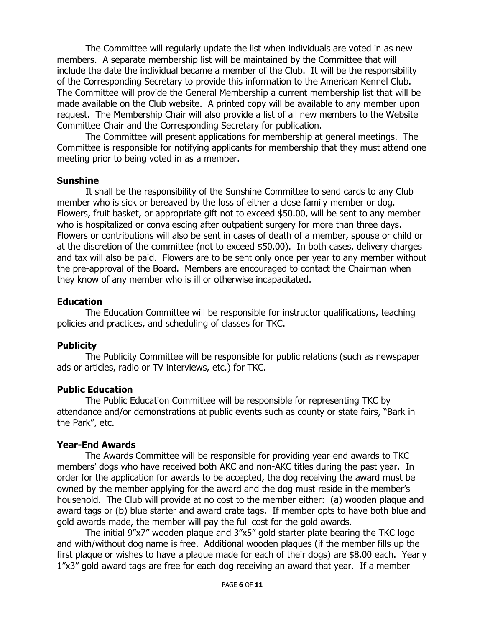The Committee will regularly update the list when individuals are voted in as new members. A separate membership list will be maintained by the Committee that will include the date the individual became a member of the Club. It will be the responsibility of the Corresponding Secretary to provide this information to the American Kennel Club. The Committee will provide the General Membership a current membership list that will be made available on the Club website. A printed copy will be available to any member upon request. The Membership Chair will also provide a list of all new members to the Website Committee Chair and the Corresponding Secretary for publication.

 The Committee will present applications for membership at general meetings. The Committee is responsible for notifying applicants for membership that they must attend one meeting prior to being voted in as a member.

#### Sunshine

 It shall be the responsibility of the Sunshine Committee to send cards to any Club member who is sick or bereaved by the loss of either a close family member or dog. Flowers, fruit basket, or appropriate gift not to exceed \$50.00, will be sent to any member who is hospitalized or convalescing after outpatient surgery for more than three days. Flowers or contributions will also be sent in cases of death of a member, spouse or child or at the discretion of the committee (not to exceed \$50.00). In both cases, delivery charges and tax will also be paid. Flowers are to be sent only once per year to any member without the pre-approval of the Board. Members are encouraged to contact the Chairman when they know of any member who is ill or otherwise incapacitated.

#### Education

 The Education Committee will be responsible for instructor qualifications, teaching policies and practices, and scheduling of classes for TKC.

#### **Publicity**

 The Publicity Committee will be responsible for public relations (such as newspaper ads or articles, radio or TV interviews, etc.) for TKC.

#### Public Education

 The Public Education Committee will be responsible for representing TKC by attendance and/or demonstrations at public events such as county or state fairs, "Bark in the Park", etc.

#### Year-End Awards

 The Awards Committee will be responsible for providing year-end awards to TKC members' dogs who have received both AKC and non-AKC titles during the past year. In order for the application for awards to be accepted, the dog receiving the award must be owned by the member applying for the award and the dog must reside in the member's household. The Club will provide at no cost to the member either: (a) wooden plaque and award tags or (b) blue starter and award crate tags. If member opts to have both blue and gold awards made, the member will pay the full cost for the gold awards.

 The initial 9"x7" wooden plaque and 3"x5" gold starter plate bearing the TKC logo and with/without dog name is free. Additional wooden plaques (if the member fills up the first plaque or wishes to have a plaque made for each of their dogs) are \$8.00 each. Yearly 1"x3" gold award tags are free for each dog receiving an award that year. If a member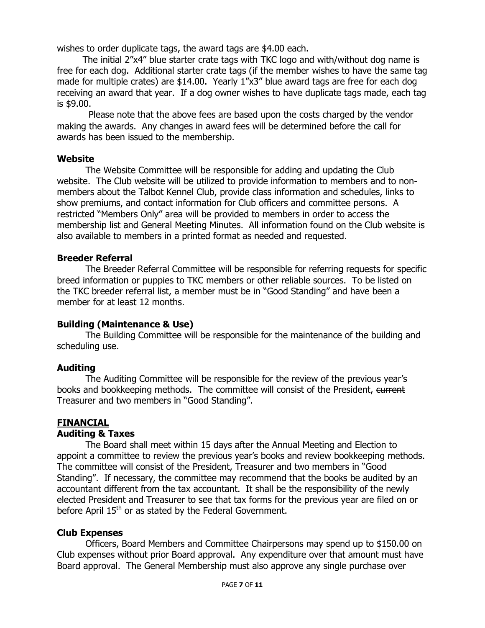wishes to order duplicate tags, the award tags are \$4.00 each.

 The initial 2"x4" blue starter crate tags with TKC logo and with/without dog name is free for each dog. Additional starter crate tags (if the member wishes to have the same tag made for multiple crates) are \$14.00. Yearly 1"x3" blue award tags are free for each dog receiving an award that year. If a dog owner wishes to have duplicate tags made, each tag is \$9.00.

 Please note that the above fees are based upon the costs charged by the vendor making the awards. Any changes in award fees will be determined before the call for awards has been issued to the membership.

#### **Website**

 The Website Committee will be responsible for adding and updating the Club website. The Club website will be utilized to provide information to members and to nonmembers about the Talbot Kennel Club, provide class information and schedules, links to show premiums, and contact information for Club officers and committee persons. A restricted "Members Only" area will be provided to members in order to access the membership list and General Meeting Minutes. All information found on the Club website is also available to members in a printed format as needed and requested.

# Breeder Referral

 The Breeder Referral Committee will be responsible for referring requests for specific breed information or puppies to TKC members or other reliable sources. To be listed on the TKC breeder referral list, a member must be in "Good Standing" and have been a member for at least 12 months.

# Building (Maintenance & Use)

 The Building Committee will be responsible for the maintenance of the building and scheduling use.

# Auditing

The Auditing Committee will be responsible for the review of the previous year's books and bookkeeping methods. The committee will consist of the President, current Treasurer and two members in "Good Standing".

# FINANCIAL

# Auditing & Taxes

 The Board shall meet within 15 days after the Annual Meeting and Election to appoint a committee to review the previous year's books and review bookkeeping methods. The committee will consist of the President, Treasurer and two members in "Good Standing". If necessary, the committee may recommend that the books be audited by an accountant different from the tax accountant. It shall be the responsibility of the newly elected President and Treasurer to see that tax forms for the previous year are filed on or before April  $15<sup>th</sup>$  or as stated by the Federal Government.

# Club Expenses

 Officers, Board Members and Committee Chairpersons may spend up to \$150.00 on Club expenses without prior Board approval. Any expenditure over that amount must have Board approval. The General Membership must also approve any single purchase over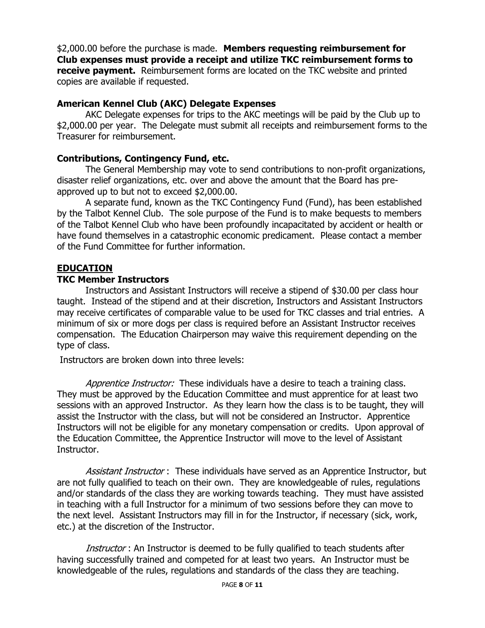\$2,000.00 before the purchase is made. Members requesting reimbursement for Club expenses must provide a receipt and utilize TKC reimbursement forms to receive payment. Reimbursement forms are located on the TKC website and printed copies are available if requested.

### American Kennel Club (AKC) Delegate Expenses

 AKC Delegate expenses for trips to the AKC meetings will be paid by the Club up to \$2,000.00 per year. The Delegate must submit all receipts and reimbursement forms to the Treasurer for reimbursement.

### Contributions, Contingency Fund, etc.

 The General Membership may vote to send contributions to non-profit organizations, disaster relief organizations, etc. over and above the amount that the Board has preapproved up to but not to exceed \$2,000.00.

A separate fund, known as the TKC Contingency Fund (Fund), has been established by the Talbot Kennel Club. The sole purpose of the Fund is to make bequests to members of the Talbot Kennel Club who have been profoundly incapacitated by accident or health or have found themselves in a catastrophic economic predicament. Please contact a member of the Fund Committee for further information.

# EDUCATION

# TKC Member Instructors

 Instructors and Assistant Instructors will receive a stipend of \$30.00 per class hour taught. Instead of the stipend and at their discretion, Instructors and Assistant Instructors may receive certificates of comparable value to be used for TKC classes and trial entries. A minimum of six or more dogs per class is required before an Assistant Instructor receives compensation. The Education Chairperson may waive this requirement depending on the type of class.

Instructors are broken down into three levels:

Apprentice Instructor: These individuals have a desire to teach a training class. They must be approved by the Education Committee and must apprentice for at least two sessions with an approved Instructor. As they learn how the class is to be taught, they will assist the Instructor with the class, but will not be considered an Instructor. Apprentice Instructors will not be eligible for any monetary compensation or credits. Upon approval of the Education Committee, the Apprentice Instructor will move to the level of Assistant Instructor.

Assistant Instructor: These individuals have served as an Apprentice Instructor, but are not fully qualified to teach on their own. They are knowledgeable of rules, regulations and/or standards of the class they are working towards teaching. They must have assisted in teaching with a full Instructor for a minimum of two sessions before they can move to the next level. Assistant Instructors may fill in for the Instructor, if necessary (sick, work, etc.) at the discretion of the Instructor.

*Instructor* : An Instructor is deemed to be fully qualified to teach students after having successfully trained and competed for at least two years. An Instructor must be knowledgeable of the rules, regulations and standards of the class they are teaching.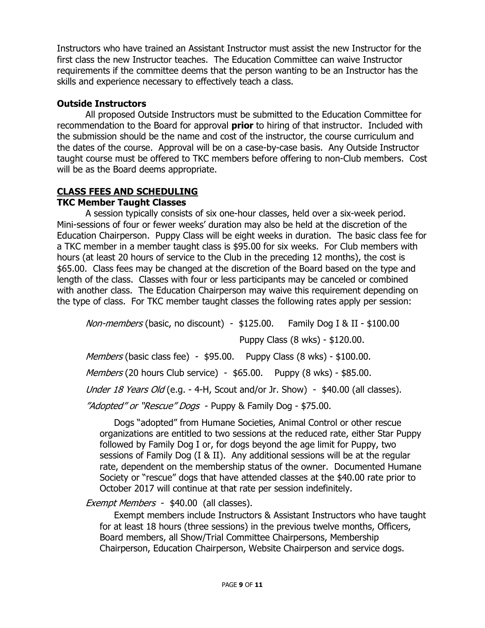Instructors who have trained an Assistant Instructor must assist the new Instructor for the first class the new Instructor teaches. The Education Committee can waive Instructor requirements if the committee deems that the person wanting to be an Instructor has the skills and experience necessary to effectively teach a class.

### Outside Instructors

 All proposed Outside Instructors must be submitted to the Education Committee for recommendation to the Board for approval **prior** to hiring of that instructor. Included with the submission should be the name and cost of the instructor, the course curriculum and the dates of the course. Approval will be on a case-by-case basis. Any Outside Instructor taught course must be offered to TKC members before offering to non-Club members. Cost will be as the Board deems appropriate.

### CLASS FEES AND SCHEDULING TKC Member Taught Classes

 A session typically consists of six one-hour classes, held over a six-week period. Mini-sessions of four or fewer weeks' duration may also be held at the discretion of the Education Chairperson. Puppy Class will be eight weeks in duration. The basic class fee for a TKC member in a member taught class is \$95.00 for six weeks. For Club members with hours (at least 20 hours of service to the Club in the preceding 12 months), the cost is \$65.00. Class fees may be changed at the discretion of the Board based on the type and length of the class. Classes with four or less participants may be canceled or combined with another class. The Education Chairperson may waive this requirement depending on the type of class. For TKC member taught classes the following rates apply per session:

Non-members (basic, no discount) - \$125.00. Family Dog I & II - \$100.00 Puppy Class (8 wks) - \$120.00. *Members* (basic class fee) -  $$95.00$ . Puppy Class  $(8 \text{ wks}) - $100.00$ . Members (20 hours Club service) -  $$65.00$ . Puppy (8 wks) -  $$85.00$ .

Under 18 Years Old (e.g. - 4-H, Scout and/or Jr. Show) - \$40.00 (all classes).

"Adopted" or "Rescue" Dogs - Puppy & Family Dog - \$75.00.

 Dogs "adopted" from Humane Societies, Animal Control or other rescue organizations are entitled to two sessions at the reduced rate, either Star Puppy followed by Family Dog I or, for dogs beyond the age limit for Puppy, two sessions of Family Dog (I & II). Any additional sessions will be at the regular rate, dependent on the membership status of the owner. Documented Humane Society or "rescue" dogs that have attended classes at the \$40.00 rate prior to October 2017 will continue at that rate per session indefinitely.

Exempt Members - \$40.00 (all classes).

 Exempt members include Instructors & Assistant Instructors who have taught for at least 18 hours (three sessions) in the previous twelve months, Officers, Board members, all Show/Trial Committee Chairpersons, Membership Chairperson, Education Chairperson, Website Chairperson and service dogs.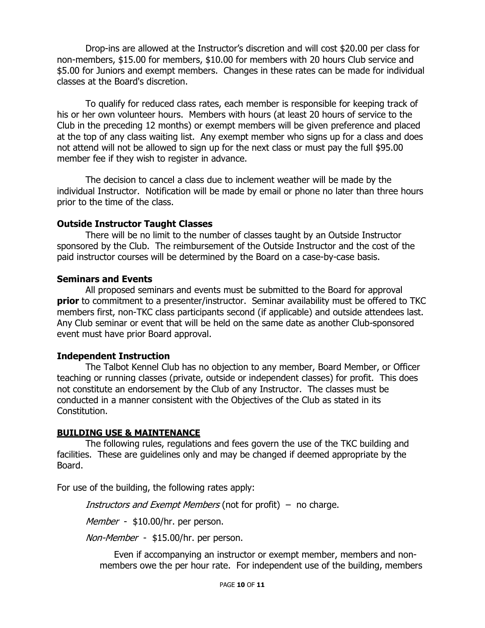Drop-ins are allowed at the Instructor's discretion and will cost \$20.00 per class for non-members, \$15.00 for members, \$10.00 for members with 20 hours Club service and \$5.00 for Juniors and exempt members. Changes in these rates can be made for individual classes at the Board's discretion.

 To qualify for reduced class rates, each member is responsible for keeping track of his or her own volunteer hours. Members with hours (at least 20 hours of service to the Club in the preceding 12 months) or exempt members will be given preference and placed at the top of any class waiting list. Any exempt member who signs up for a class and does not attend will not be allowed to sign up for the next class or must pay the full \$95.00 member fee if they wish to register in advance.

 The decision to cancel a class due to inclement weather will be made by the individual Instructor. Notification will be made by email or phone no later than three hours prior to the time of the class.

#### Outside Instructor Taught Classes

 There will be no limit to the number of classes taught by an Outside Instructor sponsored by the Club. The reimbursement of the Outside Instructor and the cost of the paid instructor courses will be determined by the Board on a case-by-case basis.

#### Seminars and Events

 All proposed seminars and events must be submitted to the Board for approval prior to commitment to a presenter/instructor. Seminar availability must be offered to TKC members first, non-TKC class participants second (if applicable) and outside attendees last. Any Club seminar or event that will be held on the same date as another Club-sponsored event must have prior Board approval.

#### Independent Instruction

 The Talbot Kennel Club has no objection to any member, Board Member, or Officer teaching or running classes (private, outside or independent classes) for profit. This does not constitute an endorsement by the Club of any Instructor. The classes must be conducted in a manner consistent with the Objectives of the Club as stated in its Constitution.

#### BUILDING USE & MAINTENANCE

The following rules, regulations and fees govern the use of the TKC building and facilities. These are guidelines only and may be changed if deemed appropriate by the Board.

For use of the building, the following rates apply:

Instructors and Exempt Members (not for profit) – no charge.

Member - \$10.00/hr. per person.

Non-Member - \$15.00/hr. per person.

 Even if accompanying an instructor or exempt member, members and nonmembers owe the per hour rate. For independent use of the building, members